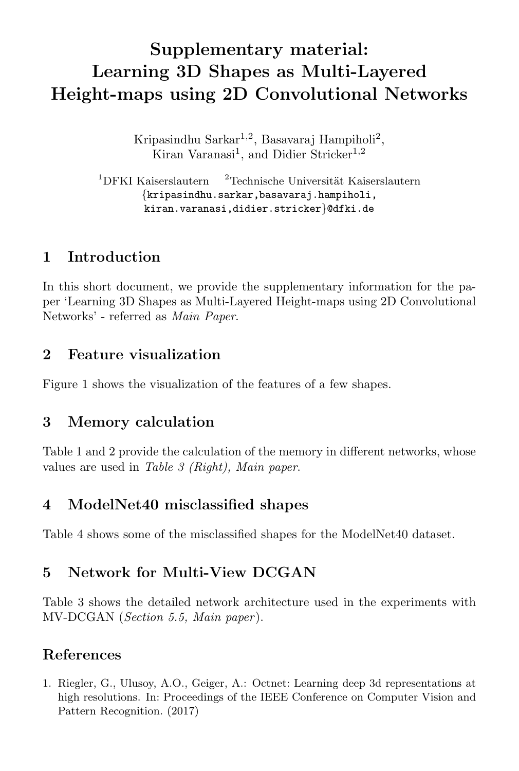# Supplementary material: Learning 3D Shapes as Multi-Layered Height-maps using 2D Convolutional Networks

Kripasindhu Sarkar<sup>1,2</sup>, Basavaraj Hampiholi<sup>2</sup>, Kiran Varanasi<sup>1</sup>, and Didier Stricker<sup>1,2</sup>

 $1$ DFKI Kaiserslautern  $2$ Technische Universität Kaiserslautern {kripasindhu.sarkar,basavaraj.hampiholi, kiran.varanasi,didier.stricker}@dfki.de

### 1 Introduction

In this short document, we provide the supplementary information for the paper 'Learning 3D Shapes as Multi-Layered Height-maps using 2D Convolutional Networks' - referred as *Main Paper*.

### 2 Feature visualization

Figure 1 shows the visualization of the features of a few shapes.

### 3 Memory calculation

Table 1 and 2 provide the calculation of the memory in different networks, whose values are used in Table 3 (Right), Main paper.

### 4 ModelNet40 misclassified shapes

Table 4 shows some of the misclassified shapes for the ModelNet40 dataset.

# 5 Network for Multi-View DCGAN

Table 3 shows the detailed network architecture used in the experiments with MV-DCGAN (Section 5.5, Main paper).

# References

1. Riegler, G., Ulusoy, A.O., Geiger, A.: Octnet: Learning deep 3d representations at high resolutions. In: Proceedings of the IEEE Conference on Computer Vision and Pattern Recognition. (2017)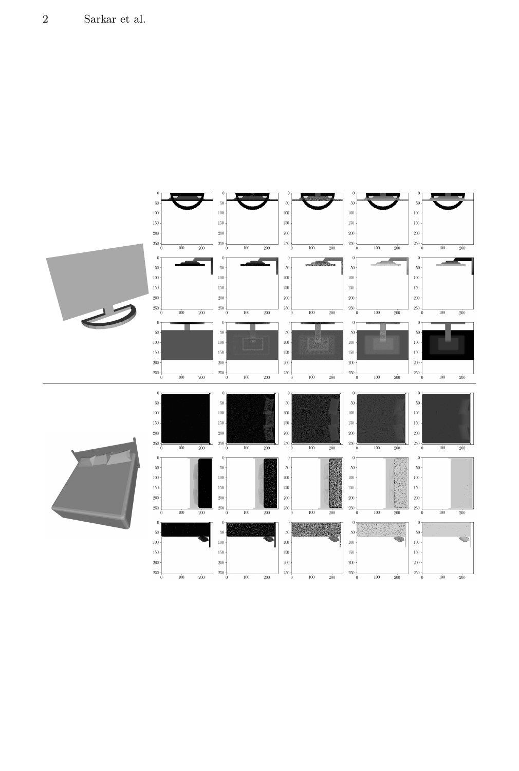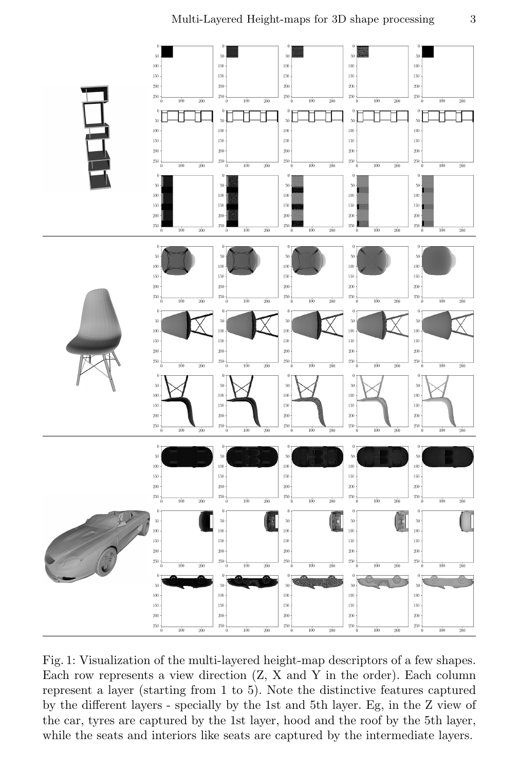

Fig. 1: Visualization of the multi-layered height-map descriptors of a few shapes. Each row represents a view direction (Z, X and Y in the order). Each column represent a layer (starting from 1 to 5). Note the distinctive features captured by the different layers - specially by the 1st and 5th layer. Eg, in the Z view of the car, tyres are captured by the 1st layer, hood and the roof by the 5th layer, while the seats and interiors like seats are captured by the intermediate layers.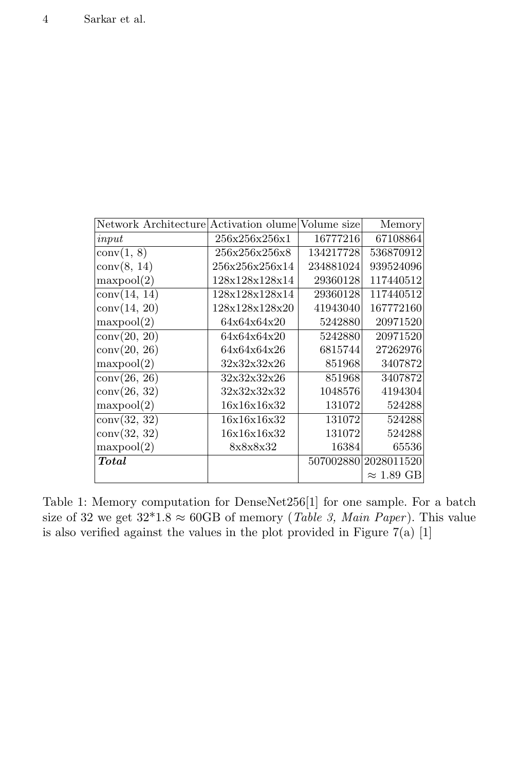| Network Architecture Activation olume Volume size |                |           | Memory            |
|---------------------------------------------------|----------------|-----------|-------------------|
| input                                             | 256x256x256x1  | 16777216  | 67108864          |
| conv(1, 8)                                        | 256x256x256x8  | 134217728 | 536870912         |
| conv(8, 14)                                       | 256x256x256x14 | 234881024 | 939524096         |
| maxpool(2)                                        | 128x128x128x14 | 29360128  | 117440512         |
| conv(14, 14)                                      | 128x128x128x14 | 29360128  | 117440512         |
| conv(14, 20)                                      | 128x128x128x20 | 41943040  | 167772160         |
| maxpool(2)                                        | 64x64x64x20    | 5242880   | 20971520          |
| conv(20, 20)                                      | 64x64x64x20    | 5242880   | 20971520          |
| conv(20, 26)                                      | 64x64x64x26    | 6815744   | 27262976          |
| maxpool(2)                                        | 32x32x32x26    | 851968    | 3407872           |
| conv(26, 26)                                      | 32x32x32x26    | 851968    | 3407872           |
| conv(26, 32)                                      | 32x32x32x32    | 1048576   | 4194304           |
| maxpool(2)                                        | 16x16x16x32    | 131072    | 524288            |
| conv(32, 32)                                      | 16x16x16x32    | 131072    | 524288            |
| conv(32, 32)                                      | 16x16x16x32    | 131072    | 524288            |
| maxpool(2)                                        | 8x8x8x32       | 16384     | 65536             |
| $\mathit{Total}$                                  |                | 507002880 | 2028011520        |
|                                                   |                |           | $\approx 1.89$ GB |

Table 1: Memory computation for DenseNet256[1] for one sample. For a batch size of 32 we get  $32*1.8 \approx 60GB$  of memory (*Table 3, Main Paper*). This value is also verified against the values in the plot provided in Figure 7(a) [1]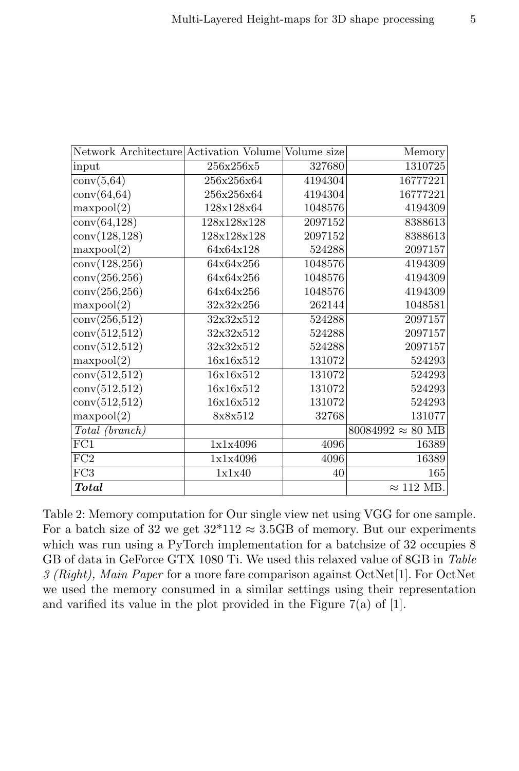| Network Architecture Activation Volume Volume size |             |         | Memory                           |
|----------------------------------------------------|-------------|---------|----------------------------------|
| input                                              | 256x256x5   | 327680  | 1310725                          |
| $\overline{\text{conv}(5,64)}$                     | 256x256x64  | 4194304 | 16777221                         |
| conv(64, 64)                                       | 256x256x64  | 4194304 | 16777221                         |
| maxpool(2)                                         | 128x128x64  | 1048576 | 4194309                          |
| conv(64, 128)                                      | 128x128x128 | 2097152 | 8388613                          |
| conv(128, 128)                                     | 128x128x128 | 2097152 | 8388613                          |
| maxpool(2)                                         | 64x64x128   | 524288  | 2097157                          |
| conv(128, 256)                                     | 64x64x256   | 1048576 | 4194309                          |
| conv(256, 256)                                     | 64x64x256   | 1048576 | 4194309                          |
| conv(256, 256)                                     | 64x64x256   | 1048576 | 4194309                          |
| maxpool(2)                                         | 32x32x256   | 262144  | 1048581                          |
| conv(256, 512)                                     | 32x32x512   | 524288  | 2097157                          |
| conv(512, 512)                                     | 32x32x512   | 524288  | 2097157                          |
| conv(512, 512)                                     | 32x32x512   | 524288  | 2097157                          |
| maxpool(2)                                         | 16x16x512   | 131072  | 524293                           |
| conv(512, 512)                                     | 16x16x512   | 131072  | 524293                           |
| conv(512, 512)                                     | 16x16x512   | 131072  | 524293                           |
| conv(512, 512)                                     | 16x16x512   | 131072  | 524293                           |
| maxpool(2)                                         | 8x8x512     | 32768   | 131077                           |
| Total (branch)                                     |             |         | $80084992 \approx 80 \text{ MB}$ |
| FC1                                                | 1x1x4096    | 4096    | 16389                            |
| FC2                                                | 1x1x4096    | 4096    | 16389                            |
| $\overline{FC3}$                                   | 1x1x40      | 40      | 165                              |
| <b>Total</b>                                       |             |         | $\approx 112$ MB.                |

Table 2: Memory computation for Our single view net using VGG for one sample. For a batch size of 32 we get  $32*112 \approx 3.5GB$  of memory. But our experiments which was run using a PyTorch implementation for a batchsize of 32 occupies 8 GB of data in GeForce GTX 1080 Ti. We used this relaxed value of 8GB in Table 3 (Right), Main Paper for a more fare comparison against OctNet[1]. For OctNet we used the memory consumed in a similar settings using their representation and varified its value in the plot provided in the Figure 7(a) of [1].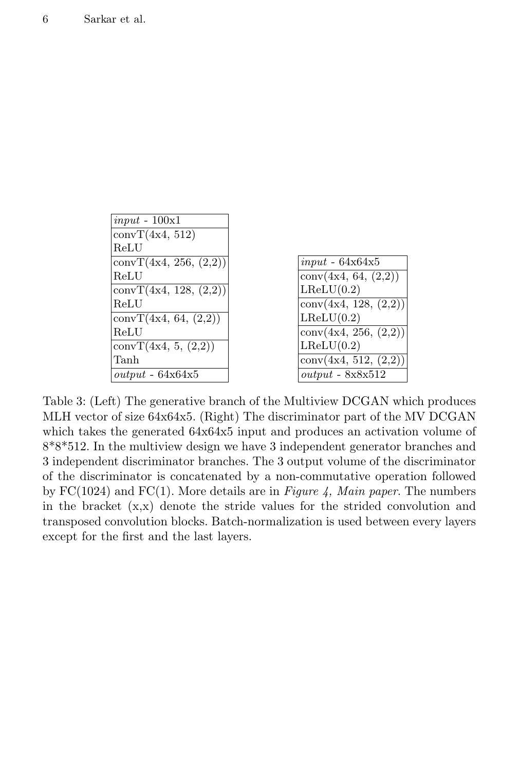| $input - 100x1$        |                                           |
|------------------------|-------------------------------------------|
| convT(4x4, 512)        |                                           |
| ReLU                   |                                           |
| convT(4x4, 256, (2,2)) | $input - 64x64x5$                         |
| ReLU                   | conv(4x4, 64, (2,2))                      |
| convT(4x4, 128, (2,2)) | LReLU(0.2)                                |
| ReLU                   | conv(4x4, 128, (2,2))                     |
| convT(4x4, 64, (2,2))  | LReLU(0.2)                                |
| ReLU                   | conv(4x4, 256, (2,2))                     |
| convT(4x4, 5, (2,2))   | LReLU(0.2)                                |
| Tanh                   | $\overline{\text{conv}}(4x4, 512, (2,2))$ |
| $output - 64x64x5$     | $output - 8x8x512$                        |

Table 3: (Left) The generative branch of the Multiview DCGAN which produces MLH vector of size 64x64x5. (Right) The discriminator part of the MV DCGAN which takes the generated  $64x64x5$  input and produces an activation volume of 8\*8\*512. In the multiview design we have 3 independent generator branches and 3 independent discriminator branches. The 3 output volume of the discriminator of the discriminator is concatenated by a non-commutative operation followed by  $FC(1024)$  and  $FC(1)$ . More details are in Figure 4, Main paper. The numbers in the bracket (x,x) denote the stride values for the strided convolution and transposed convolution blocks. Batch-normalization is used between every layers except for the first and the last layers.